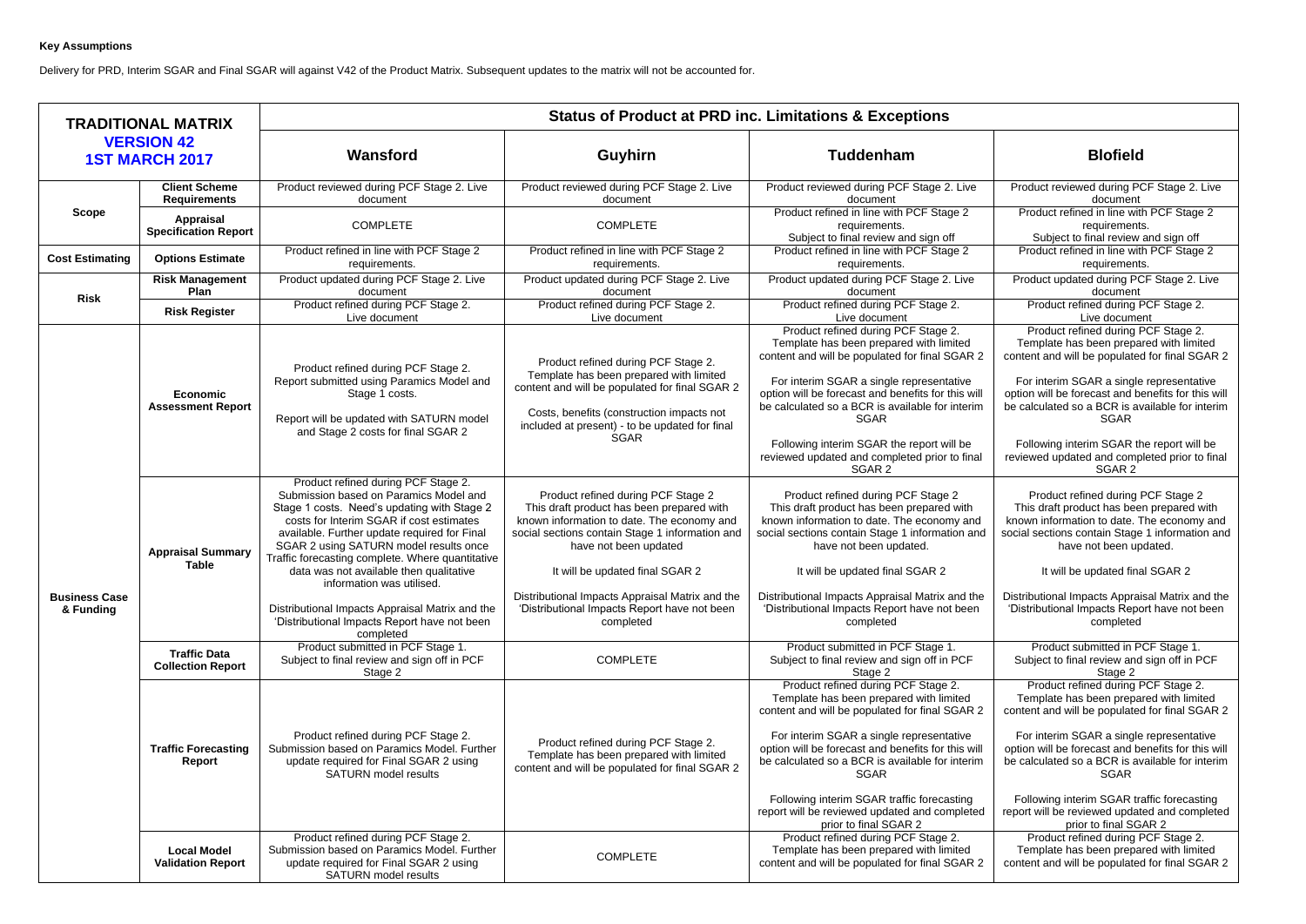## **Key Assumptions**

Delivery for PRD, Interim SGAR and Final SGAR will against V42 of the Product Matrix. Subsequent updates to the matrix will not be accounted for.

| <b>TRADITIONAL MATRIX</b>                  |                                                            | <b>Status of Product at PRD inc. Limitations &amp; Exceptions</b>                                                                                                                                                                                                                                                                                                                                                                                                                                              |                                                                                                                                                                                                                                                                                                                                                              |                                                                                                                                                                                                                                                                                                                                                                                                                                                                     |                                                                                                                                                                                                                                                                                                                                                                                                                                                                     |  |
|--------------------------------------------|------------------------------------------------------------|----------------------------------------------------------------------------------------------------------------------------------------------------------------------------------------------------------------------------------------------------------------------------------------------------------------------------------------------------------------------------------------------------------------------------------------------------------------------------------------------------------------|--------------------------------------------------------------------------------------------------------------------------------------------------------------------------------------------------------------------------------------------------------------------------------------------------------------------------------------------------------------|---------------------------------------------------------------------------------------------------------------------------------------------------------------------------------------------------------------------------------------------------------------------------------------------------------------------------------------------------------------------------------------------------------------------------------------------------------------------|---------------------------------------------------------------------------------------------------------------------------------------------------------------------------------------------------------------------------------------------------------------------------------------------------------------------------------------------------------------------------------------------------------------------------------------------------------------------|--|
| <b>VERSION 42</b><br><b>1ST MARCH 2017</b> |                                                            | Wansford                                                                                                                                                                                                                                                                                                                                                                                                                                                                                                       | <b>Guyhirn</b>                                                                                                                                                                                                                                                                                                                                               | <b>Tuddenham</b>                                                                                                                                                                                                                                                                                                                                                                                                                                                    | <b>Blofield</b>                                                                                                                                                                                                                                                                                                                                                                                                                                                     |  |
|                                            | <b>Client Scheme</b><br><b>Requirements</b>                | Product reviewed during PCF Stage 2. Live<br>document                                                                                                                                                                                                                                                                                                                                                                                                                                                          | Product reviewed during PCF Stage 2. Live<br>document                                                                                                                                                                                                                                                                                                        | Product reviewed during PCF Stage 2. Live<br>document                                                                                                                                                                                                                                                                                                                                                                                                               | Product reviewed during PCF Stage 2. Live<br>document                                                                                                                                                                                                                                                                                                                                                                                                               |  |
| <b>Scope</b>                               | <b>Appraisal</b><br><b>Specification Report</b>            | <b>COMPLETE</b>                                                                                                                                                                                                                                                                                                                                                                                                                                                                                                | <b>COMPLETE</b>                                                                                                                                                                                                                                                                                                                                              | Product refined in line with PCF Stage 2<br>requirements.<br>Subject to final review and sign off                                                                                                                                                                                                                                                                                                                                                                   | Product refined in line with PCF Stage 2<br>requirements.<br>Subject to final review and sign off                                                                                                                                                                                                                                                                                                                                                                   |  |
| <b>Cost Estimating</b>                     | <b>Options Estimate</b>                                    | Product refined in line with PCF Stage 2<br>requirements.                                                                                                                                                                                                                                                                                                                                                                                                                                                      | Product refined in line with PCF Stage 2<br>requirements.                                                                                                                                                                                                                                                                                                    | Product refined in line with PCF Stage 2<br>requirements.                                                                                                                                                                                                                                                                                                                                                                                                           | Product refined in line with PCF Stage 2<br>requirements.                                                                                                                                                                                                                                                                                                                                                                                                           |  |
| <b>Risk</b>                                | <b>Risk Management</b><br>Plan                             | Product updated during PCF Stage 2. Live<br>document                                                                                                                                                                                                                                                                                                                                                                                                                                                           | Product updated during PCF Stage 2. Live<br>document                                                                                                                                                                                                                                                                                                         | Product updated during PCF Stage 2. Live<br>document                                                                                                                                                                                                                                                                                                                                                                                                                | Product updated during PCF Stage 2. Live<br>document                                                                                                                                                                                                                                                                                                                                                                                                                |  |
|                                            | <b>Risk Register</b>                                       | Product refined during PCF Stage 2.<br>Live document                                                                                                                                                                                                                                                                                                                                                                                                                                                           | Product refined during PCF Stage 2.<br>Live document                                                                                                                                                                                                                                                                                                         | Product refined during PCF Stage 2.<br>Live document                                                                                                                                                                                                                                                                                                                                                                                                                | Product refined during PCF Stage 2.<br>Live document                                                                                                                                                                                                                                                                                                                                                                                                                |  |
| <b>Business Case</b><br>& Funding          | <b>Economic</b><br><b>Assessment Report</b>                | Product refined during PCF Stage 2.<br>Report submitted using Paramics Model and<br>Stage 1 costs.<br>Report will be updated with SATURN model<br>and Stage 2 costs for final SGAR 2                                                                                                                                                                                                                                                                                                                           | Product refined during PCF Stage 2.<br>Template has been prepared with limited<br>content and will be populated for final SGAR 2<br>Costs, benefits (construction impacts not<br>included at present) - to be updated for final<br><b>SGAR</b>                                                                                                               | Product refined during PCF Stage 2.<br>Template has been prepared with limited<br>content and will be populated for final SGAR 2<br>For interim SGAR a single representative<br>option will be forecast and benefits for this will<br>be calculated so a BCR is available for interim<br><b>SGAR</b><br>Following interim SGAR the report will be<br>reviewed updated and completed prior to final<br>SGAR 2                                                        | Product refined during PCF Stage 2.<br>Template has been prepared with limited<br>content and will be populated for final SGAR 2<br>For interim SGAR a single representative<br>option will be forecast and benefits for this will<br>be calculated so a BCR is available for interim<br><b>SGAR</b><br>Following interim SGAR the report will be<br>reviewed updated and completed prior to final<br>SGAR 2                                                        |  |
|                                            | <b>Appraisal Summary</b><br><b>Table</b>                   | Product refined during PCF Stage 2.<br>Submission based on Paramics Model and<br>Stage 1 costs. Need's updating with Stage 2<br>costs for Interim SGAR if cost estimates<br>available. Further update required for Final<br>SGAR 2 using SATURN model results once<br>Traffic forecasting complete. Where quantitative<br>data was not available then qualitative<br>information was utilised.<br>Distributional Impacts Appraisal Matrix and the<br>'Distributional Impacts Report have not been<br>completed | Product refined during PCF Stage 2<br>This draft product has been prepared with<br>known information to date. The economy and<br>social sections contain Stage 1 information and<br>have not been updated<br>It will be updated final SGAR 2<br>Distributional Impacts Appraisal Matrix and the<br>'Distributional Impacts Report have not been<br>completed | Product refined during PCF Stage 2<br>This draft product has been prepared with<br>known information to date. The economy and<br>social sections contain Stage 1 information and<br>have not been updated.<br>It will be updated final SGAR 2<br>Distributional Impacts Appraisal Matrix and the<br>'Distributional Impacts Report have not been<br>completed                                                                                                       | Product refined during PCF Stage 2<br>This draft product has been prepared with<br>known information to date. The economy and<br>social sections contain Stage 1 information and<br>have not been updated.<br>It will be updated final SGAR 2<br>Distributional Impacts Appraisal Matrix and the<br>'Distributional Impacts Report have not been<br>completed                                                                                                       |  |
|                                            | <b>Traffic Data</b><br><b>Collection Report</b>            | Product submitted in PCF Stage 1.<br>Subject to final review and sign off in PCF<br>Stage 2                                                                                                                                                                                                                                                                                                                                                                                                                    | <b>COMPLETE</b>                                                                                                                                                                                                                                                                                                                                              | Product submitted in PCF Stage 1.<br>Subject to final review and sign off in PCF<br>Stage 2                                                                                                                                                                                                                                                                                                                                                                         | Product submitted in PCF Stage 1.<br>Subject to final review and sign off in PCF<br>Stage 2                                                                                                                                                                                                                                                                                                                                                                         |  |
|                                            | <b>Traffic Forecasting</b><br>Report<br><b>Local Model</b> | Product refined during PCF Stage 2.<br>Submission based on Paramics Model. Further<br>update required for Final SGAR 2 using<br><b>SATURN</b> model results<br>Product refined during PCF Stage 2.<br>Submission based on Paramics Model. Further                                                                                                                                                                                                                                                              | Product refined during PCF Stage 2.<br>Template has been prepared with limited<br>content and will be populated for final SGAR 2                                                                                                                                                                                                                             | Product refined during PCF Stage 2.<br>Template has been prepared with limited<br>content and will be populated for final SGAR 2<br>For interim SGAR a single representative<br>option will be forecast and benefits for this will<br>be calculated so a BCR is available for interim<br><b>SGAR</b><br>Following interim SGAR traffic forecasting<br>report will be reviewed updated and completed<br>prior to final SGAR 2<br>Product refined during PCF Stage 2. | Product refined during PCF Stage 2.<br>Template has been prepared with limited<br>content and will be populated for final SGAR 2<br>For interim SGAR a single representative<br>option will be forecast and benefits for this will<br>be calculated so a BCR is available for interim<br><b>SGAR</b><br>Following interim SGAR traffic forecasting<br>report will be reviewed updated and completed<br>prior to final SGAR 2<br>Product refined during PCF Stage 2. |  |
|                                            | <b>Validation Report</b>                                   | update required for Final SGAR 2 using<br><b>SATURN</b> model results                                                                                                                                                                                                                                                                                                                                                                                                                                          | <b>COMPLETE</b>                                                                                                                                                                                                                                                                                                                                              | Template has been prepared with limited<br>content and will be populated for final SGAR 2                                                                                                                                                                                                                                                                                                                                                                           | Template has been prepared with limited<br>content and will be populated for final SGAR 2                                                                                                                                                                                                                                                                                                                                                                           |  |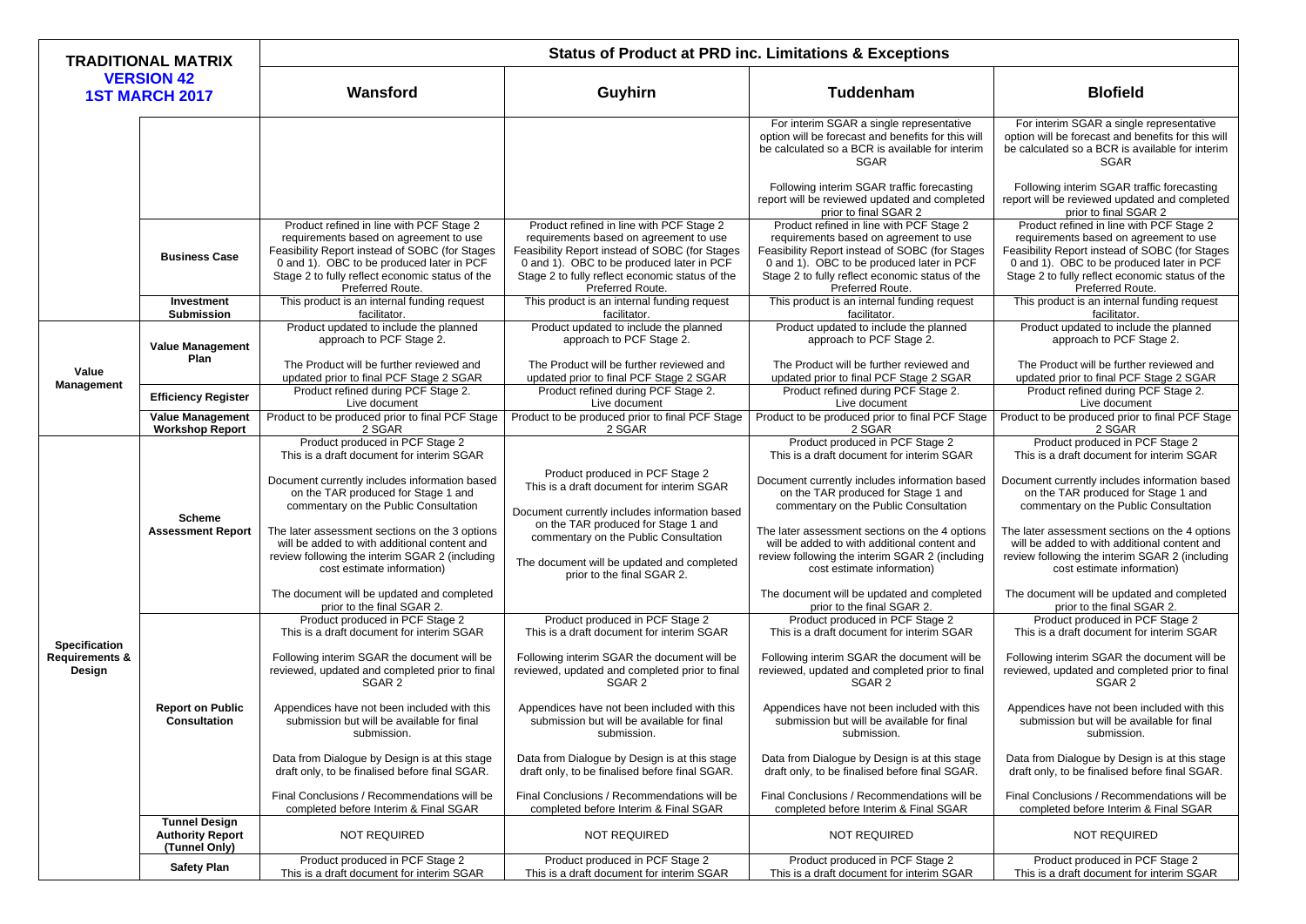| <b>TRADITIONAL MATRIX</b><br><b>VERSION 42</b><br><b>1ST MARCH 2017</b> |                                                                  | <b>Status of Product at PRD inc. Limitations &amp; Exceptions</b>                                                                                                                                                                                        |                                                                                                                                                                                                                                                          |                                                                                                                                                                                                                                                          |                                                                                                                                                                                                                                                          |  |
|-------------------------------------------------------------------------|------------------------------------------------------------------|----------------------------------------------------------------------------------------------------------------------------------------------------------------------------------------------------------------------------------------------------------|----------------------------------------------------------------------------------------------------------------------------------------------------------------------------------------------------------------------------------------------------------|----------------------------------------------------------------------------------------------------------------------------------------------------------------------------------------------------------------------------------------------------------|----------------------------------------------------------------------------------------------------------------------------------------------------------------------------------------------------------------------------------------------------------|--|
|                                                                         |                                                                  | Wansford                                                                                                                                                                                                                                                 | Guyhirn                                                                                                                                                                                                                                                  | <b>Tuddenham</b>                                                                                                                                                                                                                                         | <b>Blofield</b>                                                                                                                                                                                                                                          |  |
|                                                                         |                                                                  |                                                                                                                                                                                                                                                          |                                                                                                                                                                                                                                                          | For interim SGAR a single representative<br>option will be forecast and benefits for this will<br>be calculated so a BCR is available for interim<br><b>SGAR</b>                                                                                         | For interim SGAR a single representative<br>option will be forecast and benefits for this will<br>be calculated so a BCR is available for interim<br><b>SGAR</b>                                                                                         |  |
|                                                                         |                                                                  |                                                                                                                                                                                                                                                          |                                                                                                                                                                                                                                                          | Following interim SGAR traffic forecasting<br>report will be reviewed updated and completed<br>prior to final SGAR 2                                                                                                                                     | Following interim SGAR traffic forecasting<br>report will be reviewed updated and completed<br>prior to final SGAR 2                                                                                                                                     |  |
|                                                                         | <b>Business Case</b>                                             | Product refined in line with PCF Stage 2<br>requirements based on agreement to use<br>Feasibility Report instead of SOBC (for Stages<br>0 and 1). OBC to be produced later in PCF<br>Stage 2 to fully reflect economic status of the<br>Preferred Route. | Product refined in line with PCF Stage 2<br>requirements based on agreement to use<br>Feasibility Report instead of SOBC (for Stages<br>0 and 1). OBC to be produced later in PCF<br>Stage 2 to fully reflect economic status of the<br>Preferred Route. | Product refined in line with PCF Stage 2<br>requirements based on agreement to use<br>Feasibility Report instead of SOBC (for Stages<br>0 and 1). OBC to be produced later in PCF<br>Stage 2 to fully reflect economic status of the<br>Preferred Route. | Product refined in line with PCF Stage 2<br>requirements based on agreement to use<br>Feasibility Report instead of SOBC (for Stages<br>0 and 1). OBC to be produced later in PCF<br>Stage 2 to fully reflect economic status of the<br>Preferred Route. |  |
|                                                                         | Investment<br><b>Submission</b>                                  | This product is an internal funding request<br>facilitator.                                                                                                                                                                                              | This product is an internal funding request<br>facilitator.                                                                                                                                                                                              | This product is an internal funding request<br>facilitator.                                                                                                                                                                                              | This product is an internal funding request<br>facilitator.                                                                                                                                                                                              |  |
|                                                                         | <b>Value Management</b><br><b>Plan</b>                           | Product updated to include the planned<br>approach to PCF Stage 2.                                                                                                                                                                                       | Product updated to include the planned<br>approach to PCF Stage 2.                                                                                                                                                                                       | Product updated to include the planned<br>approach to PCF Stage 2.                                                                                                                                                                                       | Product updated to include the planned<br>approach to PCF Stage 2.                                                                                                                                                                                       |  |
| Value                                                                   |                                                                  | The Product will be further reviewed and<br>updated prior to final PCF Stage 2 SGAR                                                                                                                                                                      | The Product will be further reviewed and<br>updated prior to final PCF Stage 2 SGAR                                                                                                                                                                      | The Product will be further reviewed and<br>updated prior to final PCF Stage 2 SGAR                                                                                                                                                                      | The Product will be further reviewed and<br>updated prior to final PCF Stage 2 SGAR                                                                                                                                                                      |  |
| <b>Management</b>                                                       | <b>Efficiency Register</b>                                       | Product refined during PCF Stage 2.<br>Live document                                                                                                                                                                                                     | Product refined during PCF Stage 2.<br>Live document                                                                                                                                                                                                     | Product refined during PCF Stage 2.<br>Live document                                                                                                                                                                                                     | Product refined during PCF Stage 2.<br>Live document                                                                                                                                                                                                     |  |
|                                                                         | <b>Value Management</b><br><b>Workshop Report</b>                | Product to be produced prior to final PCF Stage<br>2 SGAR                                                                                                                                                                                                | Product to be produced prior to final PCF Stage<br>2 SGAR                                                                                                                                                                                                | Product to be produced prior to final PCF Stage<br>2 SGAR                                                                                                                                                                                                | Product to be produced prior to final PCF Stage<br>2 SGAR                                                                                                                                                                                                |  |
|                                                                         |                                                                  | Product produced in PCF Stage 2<br>This is a draft document for interim SGAR                                                                                                                                                                             |                                                                                                                                                                                                                                                          | Product produced in PCF Stage 2<br>This is a draft document for interim SGAR                                                                                                                                                                             | Product produced in PCF Stage 2<br>This is a draft document for interim SGAR                                                                                                                                                                             |  |
|                                                                         | <b>Scheme</b><br><b>Assessment Report</b>                        | Document currently includes information based<br>on the TAR produced for Stage 1 and<br>commentary on the Public Consultation                                                                                                                            | Product produced in PCF Stage 2<br>This is a draft document for interim SGAR<br>Document currently includes information based                                                                                                                            | Document currently includes information based<br>on the TAR produced for Stage 1 and<br>commentary on the Public Consultation                                                                                                                            | Document currently includes information based<br>on the TAR produced for Stage 1 and<br>commentary on the Public Consultation                                                                                                                            |  |
|                                                                         |                                                                  | The later assessment sections on the 3 options<br>will be added to with additional content and<br>review following the interim SGAR 2 (including<br>cost estimate information)                                                                           | on the TAR produced for Stage 1 and<br>commentary on the Public Consultation<br>The document will be updated and completed<br>prior to the final SGAR 2.                                                                                                 | will be added to with additional content and<br>review following the interim SGAR 2 (including<br>cost estimate information)                                                                                                                             | The later assessment sections on the 4 options   The later assessment sections on the 4 options<br>will be added to with additional content and<br>review following the interim SGAR 2 (including<br>cost estimate information)                          |  |
|                                                                         |                                                                  | The document will be updated and completed<br>prior to the final SGAR 2.                                                                                                                                                                                 |                                                                                                                                                                                                                                                          | The document will be updated and completed<br>prior to the final SGAR 2.                                                                                                                                                                                 | The document will be updated and completed<br>prior to the final SGAR 2.                                                                                                                                                                                 |  |
| <b>Specification</b>                                                    | <b>Report on Public</b><br><b>Consultation</b>                   | Product produced in PCF Stage 2<br>This is a draft document for interim SGAR                                                                                                                                                                             | Product produced in PCF Stage 2<br>This is a draft document for interim SGAR                                                                                                                                                                             | Product produced in PCF Stage 2<br>This is a draft document for interim SGAR                                                                                                                                                                             | Product produced in PCF Stage 2<br>This is a draft document for interim SGAR                                                                                                                                                                             |  |
| <b>Requirements &amp;</b><br>Design                                     |                                                                  | Following interim SGAR the document will be<br>reviewed, updated and completed prior to final<br>SGAR 2                                                                                                                                                  | Following interim SGAR the document will be<br>reviewed, updated and completed prior to final<br>SGAR 2                                                                                                                                                  | Following interim SGAR the document will be<br>reviewed, updated and completed prior to final<br>SGAR 2                                                                                                                                                  | Following interim SGAR the document will be<br>reviewed, updated and completed prior to final<br>SGAR <sub>2</sub>                                                                                                                                       |  |
|                                                                         |                                                                  | Appendices have not been included with this<br>submission but will be available for final<br>submission.                                                                                                                                                 | Appendices have not been included with this<br>submission but will be available for final<br>submission.                                                                                                                                                 | Appendices have not been included with this<br>submission but will be available for final<br>submission.                                                                                                                                                 | Appendices have not been included with this<br>submission but will be available for final<br>submission.                                                                                                                                                 |  |
|                                                                         |                                                                  | Data from Dialogue by Design is at this stage<br>draft only, to be finalised before final SGAR.                                                                                                                                                          | Data from Dialogue by Design is at this stage<br>draft only, to be finalised before final SGAR.                                                                                                                                                          | Data from Dialogue by Design is at this stage<br>draft only, to be finalised before final SGAR.                                                                                                                                                          | Data from Dialogue by Design is at this stage<br>draft only, to be finalised before final SGAR.                                                                                                                                                          |  |
|                                                                         |                                                                  | Final Conclusions / Recommendations will be<br>completed before Interim & Final SGAR                                                                                                                                                                     | Final Conclusions / Recommendations will be<br>completed before Interim & Final SGAR                                                                                                                                                                     | Final Conclusions / Recommendations will be<br>completed before Interim & Final SGAR                                                                                                                                                                     | Final Conclusions / Recommendations will be<br>completed before Interim & Final SGAR                                                                                                                                                                     |  |
|                                                                         | <b>Tunnel Design</b><br><b>Authority Report</b><br>(Tunnel Only) | <b>NOT REQUIRED</b>                                                                                                                                                                                                                                      | <b>NOT REQUIRED</b>                                                                                                                                                                                                                                      | <b>NOT REQUIRED</b>                                                                                                                                                                                                                                      | <b>NOT REQUIRED</b>                                                                                                                                                                                                                                      |  |
|                                                                         | <b>Safety Plan</b>                                               | Product produced in PCF Stage 2<br>This is a draft document for interim SGAR                                                                                                                                                                             | Product produced in PCF Stage 2<br>This is a draft document for interim SGAR                                                                                                                                                                             | Product produced in PCF Stage 2<br>This is a draft document for interim SGAR                                                                                                                                                                             | Product produced in PCF Stage 2<br>This is a draft document for interim SGAR                                                                                                                                                                             |  |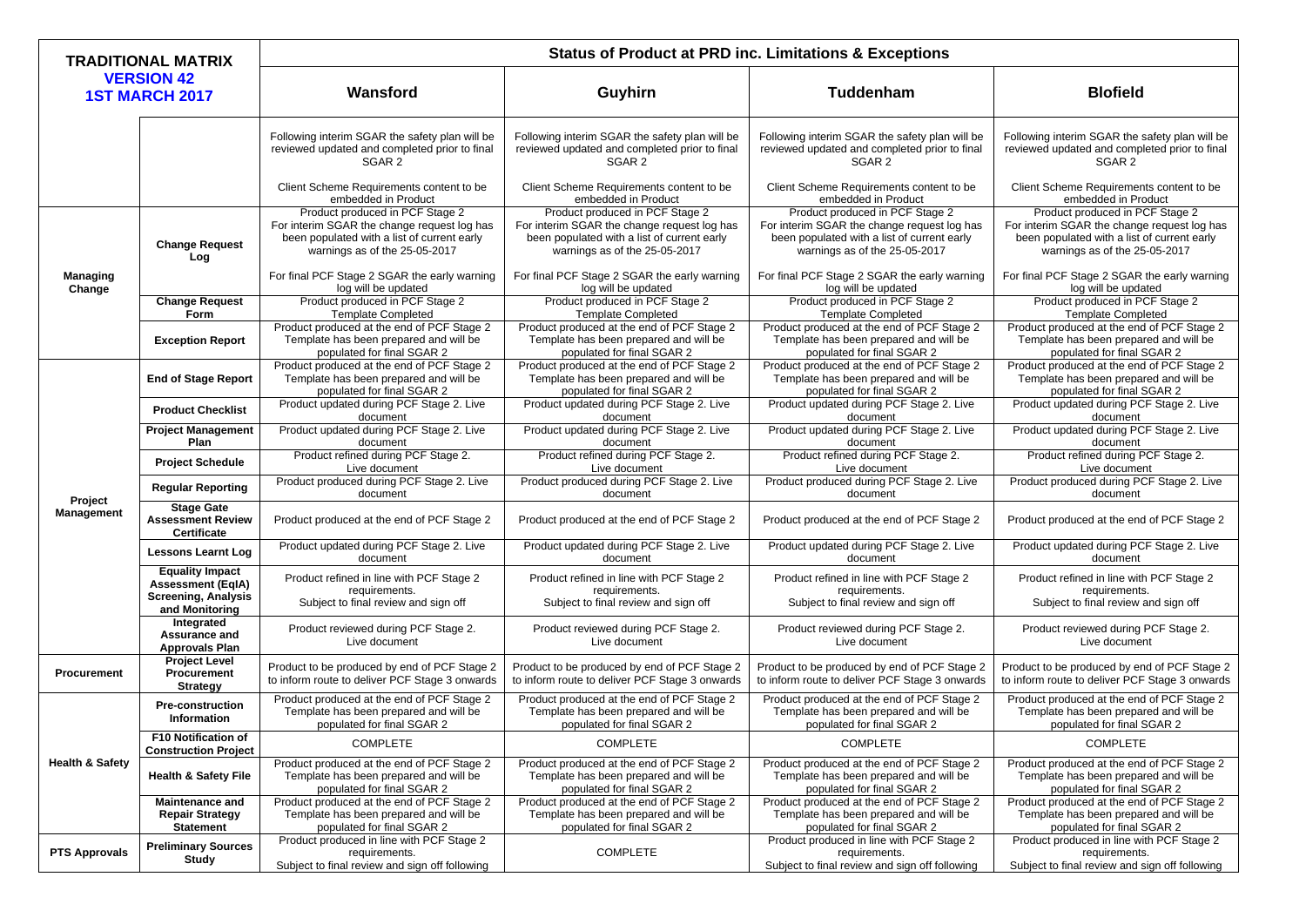| <b>VERSION 42</b><br>Guyhirn<br><b>Tuddenham</b><br>Wansford<br><b>1ST MARCH 2017</b>                                                                                                                                                                                                                                                                                                                                                                                                                                              | <b>Blofield</b>                                                                                                                                                |
|------------------------------------------------------------------------------------------------------------------------------------------------------------------------------------------------------------------------------------------------------------------------------------------------------------------------------------------------------------------------------------------------------------------------------------------------------------------------------------------------------------------------------------|----------------------------------------------------------------------------------------------------------------------------------------------------------------|
|                                                                                                                                                                                                                                                                                                                                                                                                                                                                                                                                    |                                                                                                                                                                |
| Following interim SGAR the safety plan will be<br>Following interim SGAR the safety plan will be<br>Following interim SGAR the safety plan will be<br>reviewed updated and completed prior to final<br>reviewed updated and completed prior to final<br>reviewed updated and completed prior to final<br>SGAR 2<br>SGAR 2<br>SGAR 2                                                                                                                                                                                                | Following interim SGAR the safety plan will be<br>reviewed updated and completed prior to final<br>SGAR <sub>2</sub>                                           |
| Client Scheme Requirements content to be<br>Client Scheme Requirements content to be<br>Client Scheme Requirements content to be<br>embedded in Product<br>embedded in Product<br>embedded in Product                                                                                                                                                                                                                                                                                                                              | Client Scheme Requirements content to be<br>embedded in Product                                                                                                |
| Product produced in PCF Stage 2<br>Product produced in PCF Stage 2<br>Product produced in PCF Stage 2<br>For interim SGAR the change request log has<br>For interim SGAR the change request log has<br>For interim SGAR the change request log has<br>been populated with a list of current early<br>been populated with a list of current early<br>been populated with a list of current early<br><b>Change Request</b><br>warnings as of the 25-05-2017<br>warnings as of the 25-05-2017<br>warnings as of the 25-05-2017<br>Log | Product produced in PCF Stage 2<br>For interim SGAR the change request log has<br>been populated with a list of current early<br>warnings as of the 25-05-2017 |
| For final PCF Stage 2 SGAR the early warning<br>For final PCF Stage 2 SGAR the early warning<br>For final PCF Stage 2 SGAR the early warning<br><b>Managing</b><br>log will be updated<br>log will be updated<br>log will be updated<br>Change<br>Product produced in PCF Stage 2<br>Product produced in PCF Stage 2                                                                                                                                                                                                               | For final PCF Stage 2 SGAR the early warning<br>log will be updated                                                                                            |
| Product produced in PCF Stage 2<br><b>Change Request</b><br><b>Template Completed</b><br><b>Template Completed</b><br><b>Template Completed</b><br>Form                                                                                                                                                                                                                                                                                                                                                                            | Product produced in PCF Stage 2<br><b>Template Completed</b>                                                                                                   |
| Product produced at the end of PCF Stage 2<br>Product produced at the end of PCF Stage 2<br>Product produced at the end of PCF Stage 2<br>Template has been prepared and will be<br>Template has been prepared and will be<br>Template has been prepared and will be<br><b>Exception Report</b><br>populated for final SGAR 2<br>populated for final SGAR 2<br>populated for final SGAR 2                                                                                                                                          | Product produced at the end of PCF Stage 2<br>Template has been prepared and will be<br>populated for final SGAR 2                                             |
| Product produced at the end of PCF Stage 2<br>Product produced at the end of PCF Stage 2<br>Product produced at the end of PCF Stage 2<br>Template has been prepared and will be<br>Template has been prepared and will be<br>Template has been prepared and will be<br><b>End of Stage Report</b><br>populated for final SGAR 2<br>populated for final SGAR 2<br>populated for final SGAR 2                                                                                                                                       | Product produced at the end of PCF Stage 2<br>Template has been prepared and will be<br>populated for final SGAR 2                                             |
| Product updated during PCF Stage 2. Live<br>Product updated during PCF Stage 2. Live<br>Product updated during PCF Stage 2. Live<br><b>Product Checklist</b><br>document<br>document<br>document                                                                                                                                                                                                                                                                                                                                   | Product updated during PCF Stage 2. Live<br>document                                                                                                           |
| Product updated during PCF Stage 2. Live<br>Product updated during PCF Stage 2. Live<br>Product updated during PCF Stage 2. Live<br><b>Project Management</b><br><b>Plan</b><br>document<br>document<br>document                                                                                                                                                                                                                                                                                                                   | Product updated during PCF Stage 2. Live<br>document                                                                                                           |
| Product refined during PCF Stage 2.<br>Product refined during PCF Stage 2.<br>Product refined during PCF Stage 2.<br><b>Project Schedule</b><br>Live document<br>Live document<br>Live document                                                                                                                                                                                                                                                                                                                                    | Product refined during PCF Stage 2.<br>Live document                                                                                                           |
| Product produced during PCF Stage 2. Live<br>Product produced during PCF Stage 2. Live<br>Product produced during PCF Stage 2. Live<br><b>Regular Reporting</b><br>document<br>document<br>document                                                                                                                                                                                                                                                                                                                                | Product produced during PCF Stage 2. Live<br>document                                                                                                          |
| Project<br><b>Stage Gate</b><br><b>Management</b><br><b>Assessment Review</b><br>Product produced at the end of PCF Stage 2<br>Product produced at the end of PCF Stage 2<br>Product produced at the end of PCF Stage 2<br><b>Certificate</b>                                                                                                                                                                                                                                                                                      | Product produced at the end of PCF Stage 2                                                                                                                     |
| Product updated during PCF Stage 2. Live<br>Product updated during PCF Stage 2. Live<br>Product updated during PCF Stage 2. Live<br><b>Lessons Learnt Log</b><br>document<br>document<br>document                                                                                                                                                                                                                                                                                                                                  | Product updated during PCF Stage 2. Live<br>document                                                                                                           |
| <b>Equality Impact</b><br>Product refined in line with PCF Stage 2<br>Product refined in line with PCF Stage 2<br>Product refined in line with PCF Stage 2<br><b>Assessment (EqIA)</b><br>requirements.<br>requirements.<br>requirements.<br><b>Screening, Analysis</b><br>Subject to final review and sign off<br>Subject to final review and sign off<br>Subject to final review and sign off<br>and Monitoring                                                                                                                  | Product refined in line with PCF Stage 2<br>requirements.<br>Subject to final review and sign off                                                              |
| Integrated<br>Product reviewed during PCF Stage 2.<br>Product reviewed during PCF Stage 2.<br>Product reviewed during PCF Stage 2.<br><b>Assurance and</b><br>Live document<br>Live document<br>Live document<br><b>Approvals Plan</b>                                                                                                                                                                                                                                                                                             | Product reviewed during PCF Stage 2.<br>Live document                                                                                                          |
| <b>Project Level</b><br>Product to be produced by end of PCF Stage 2<br>Product to be produced by end of PCF Stage 2<br>Product to be produced by end of PCF Stage 2<br><b>Procurement</b><br><b>Procurement</b><br>to inform route to deliver PCF Stage 3 onwards<br>to inform route to deliver PCF Stage 3 onwards<br>to inform route to deliver PCF Stage 3 onwards<br><b>Strategy</b>                                                                                                                                          | Product to be produced by end of PCF Stage 2<br>to inform route to deliver PCF Stage 3 onwards                                                                 |
| Product produced at the end of PCF Stage 2<br>Product produced at the end of PCF Stage 2<br>Product produced at the end of PCF Stage 2<br><b>Pre-construction</b><br>Template has been prepared and will be<br>Template has been prepared and will be<br>Template has been prepared and will be<br><b>Information</b><br>populated for final SGAR 2<br>populated for final SGAR 2<br>populated for final SGAR 2                                                                                                                    | Product produced at the end of PCF Stage 2<br>Template has been prepared and will be<br>populated for final SGAR 2                                             |
| <b>F10 Notification of</b><br><b>COMPLETE</b><br><b>COMPLETE</b><br><b>COMPLETE</b><br><b>Construction Project</b>                                                                                                                                                                                                                                                                                                                                                                                                                 | <b>COMPLETE</b>                                                                                                                                                |
| <b>Health &amp; Safety</b><br>Product produced at the end of PCF Stage 2<br>Product produced at the end of PCF Stage 2<br>Product produced at the end of PCF Stage 2<br>Template has been prepared and will be<br>Template has been prepared and will be<br><b>Health &amp; Safety File</b><br>Template has been prepared and will be<br>populated for final SGAR 2<br>populated for final SGAR 2<br>populated for final SGAR 2                                                                                                    | Product produced at the end of PCF Stage 2<br>Template has been prepared and will be<br>populated for final SGAR 2                                             |
| Product produced at the end of PCF Stage 2<br>Product produced at the end of PCF Stage 2<br>Product produced at the end of PCF Stage 2<br><b>Maintenance and</b><br><b>Repair Strategy</b><br>Template has been prepared and will be<br>Template has been prepared and will be<br>Template has been prepared and will be<br>populated for final SGAR 2<br>populated for final SGAR 2<br><b>Statement</b><br>populated for final SGAR 2                                                                                             | Product produced at the end of PCF Stage 2<br>Template has been prepared and will be<br>populated for final SGAR 2                                             |
| Product produced in line with PCF Stage 2<br>Product produced in line with PCF Stage 2<br><b>Preliminary Sources</b><br><b>COMPLETE</b><br><b>PTS Approvals</b><br>requirements.<br>requirements.<br><b>Study</b><br>Subject to final review and sign off following<br>Subject to final review and sign off following                                                                                                                                                                                                              | Product produced in line with PCF Stage 2<br>requirements.<br>Subject to final review and sign off following                                                   |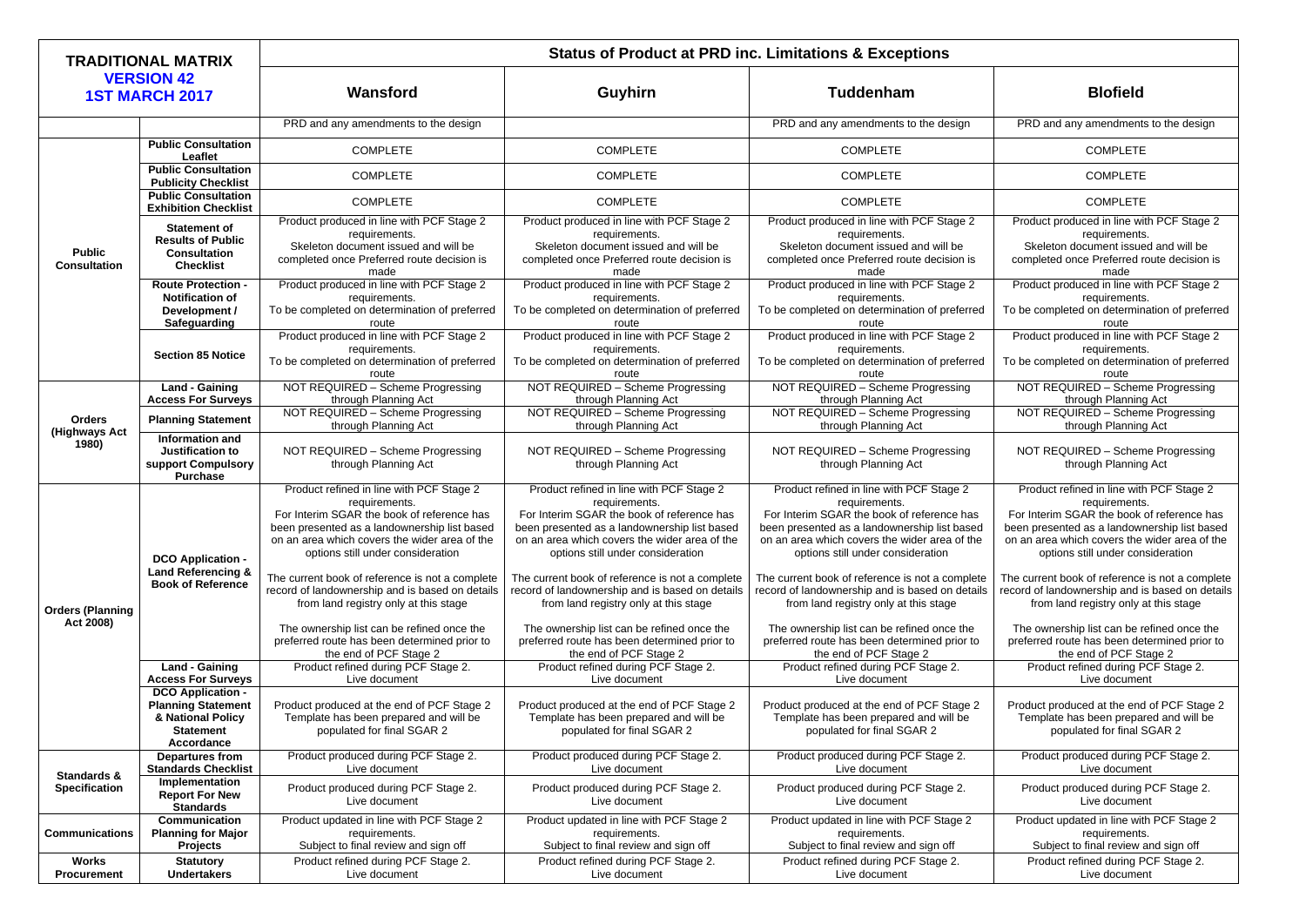| <b>TRADITIONAL MATRIX</b><br><b>VERSION 42</b><br><b>1ST MARCH 2017</b> |                                                                                                                                                  | <b>Status of Product at PRD inc. Limitations &amp; Exceptions</b>                                                                                                                                                                                                                                |                                                                                                                                                                                                                                                                                                  |                                                                                                                                                                                                                                                                                                  |                                                                                                                                                                                                                                                                                                  |  |
|-------------------------------------------------------------------------|--------------------------------------------------------------------------------------------------------------------------------------------------|--------------------------------------------------------------------------------------------------------------------------------------------------------------------------------------------------------------------------------------------------------------------------------------------------|--------------------------------------------------------------------------------------------------------------------------------------------------------------------------------------------------------------------------------------------------------------------------------------------------|--------------------------------------------------------------------------------------------------------------------------------------------------------------------------------------------------------------------------------------------------------------------------------------------------|--------------------------------------------------------------------------------------------------------------------------------------------------------------------------------------------------------------------------------------------------------------------------------------------------|--|
|                                                                         |                                                                                                                                                  | Wansford                                                                                                                                                                                                                                                                                         | Guyhirn                                                                                                                                                                                                                                                                                          | <b>Tuddenham</b>                                                                                                                                                                                                                                                                                 | <b>Blofield</b>                                                                                                                                                                                                                                                                                  |  |
|                                                                         |                                                                                                                                                  | PRD and any amendments to the design                                                                                                                                                                                                                                                             |                                                                                                                                                                                                                                                                                                  | PRD and any amendments to the design                                                                                                                                                                                                                                                             | PRD and any amendments to the design                                                                                                                                                                                                                                                             |  |
| <b>Public</b><br><b>Consultation</b>                                    | <b>Public Consultation</b><br>Leaflet                                                                                                            | <b>COMPLETE</b>                                                                                                                                                                                                                                                                                  | <b>COMPLETE</b>                                                                                                                                                                                                                                                                                  | <b>COMPLETE</b>                                                                                                                                                                                                                                                                                  | <b>COMPLETE</b>                                                                                                                                                                                                                                                                                  |  |
|                                                                         | <b>Public Consultation</b><br><b>Publicity Checklist</b>                                                                                         | <b>COMPLETE</b>                                                                                                                                                                                                                                                                                  | <b>COMPLETE</b>                                                                                                                                                                                                                                                                                  | <b>COMPLETE</b>                                                                                                                                                                                                                                                                                  | <b>COMPLETE</b>                                                                                                                                                                                                                                                                                  |  |
|                                                                         | <b>Public Consultation</b><br><b>Exhibition Checklist</b>                                                                                        | <b>COMPLETE</b>                                                                                                                                                                                                                                                                                  | <b>COMPLETE</b>                                                                                                                                                                                                                                                                                  | <b>COMPLETE</b>                                                                                                                                                                                                                                                                                  | <b>COMPLETE</b>                                                                                                                                                                                                                                                                                  |  |
|                                                                         | <b>Statement of</b><br><b>Results of Public</b><br><b>Consultation</b><br><b>Checklist</b>                                                       | Product produced in line with PCF Stage 2<br>requirements.<br>Skeleton document issued and will be<br>completed once Preferred route decision is<br>made                                                                                                                                         | Product produced in line with PCF Stage 2<br>requirements.<br>Skeleton document issued and will be<br>completed once Preferred route decision is<br>made                                                                                                                                         | Product produced in line with PCF Stage 2<br>requirements.<br>Skeleton document issued and will be<br>completed once Preferred route decision is<br>made                                                                                                                                         | Product produced in line with PCF Stage 2<br>requirements.<br>Skeleton document issued and will be<br>completed once Preferred route decision is<br>made                                                                                                                                         |  |
|                                                                         | <b>Route Protection -</b><br><b>Notification of</b><br>Development /<br>Safeguarding                                                             | Product produced in line with PCF Stage 2<br>requirements.<br>To be completed on determination of preferred<br>route                                                                                                                                                                             | Product produced in line with PCF Stage 2<br>requirements.<br>To be completed on determination of preferred<br>route                                                                                                                                                                             | Product produced in line with PCF Stage 2<br>requirements.<br>To be completed on determination of preferred<br>route                                                                                                                                                                             | Product produced in line with PCF Stage 2<br>requirements.<br>To be completed on determination of preferred<br>route                                                                                                                                                                             |  |
|                                                                         | <b>Section 85 Notice</b>                                                                                                                         | Product produced in line with PCF Stage 2<br>requirements.<br>To be completed on determination of preferred<br>route                                                                                                                                                                             | Product produced in line with PCF Stage 2<br>requirements.<br>To be completed on determination of preferred<br>route                                                                                                                                                                             | Product produced in line with PCF Stage 2<br>requirements.<br>To be completed on determination of preferred<br>route                                                                                                                                                                             | Product produced in line with PCF Stage 2<br>requirements.<br>To be completed on determination of preferred<br>route                                                                                                                                                                             |  |
|                                                                         | <b>Land - Gaining</b><br><b>Access For Surveys</b>                                                                                               | NOT REQUIRED - Scheme Progressing<br>through Planning Act                                                                                                                                                                                                                                        | NOT REQUIRED - Scheme Progressing<br>through Planning Act                                                                                                                                                                                                                                        | NOT REQUIRED - Scheme Progressing<br>through Planning Act                                                                                                                                                                                                                                        | NOT REQUIRED - Scheme Progressing<br>through Planning Act                                                                                                                                                                                                                                        |  |
| <b>Orders</b><br>(Highways Act<br>1980)                                 | <b>Planning Statement</b>                                                                                                                        | NOT REQUIRED - Scheme Progressing<br>through Planning Act                                                                                                                                                                                                                                        | NOT REQUIRED - Scheme Progressing<br>through Planning Act                                                                                                                                                                                                                                        | NOT REQUIRED - Scheme Progressing<br>through Planning Act                                                                                                                                                                                                                                        | NOT REQUIRED - Scheme Progressing<br>through Planning Act                                                                                                                                                                                                                                        |  |
|                                                                         | Information and<br><b>Justification to</b><br>support Compulsory<br><b>Purchase</b>                                                              | NOT REQUIRED - Scheme Progressing<br>through Planning Act                                                                                                                                                                                                                                        | NOT REQUIRED - Scheme Progressing<br>through Planning Act                                                                                                                                                                                                                                        | NOT REQUIRED - Scheme Progressing<br>through Planning Act                                                                                                                                                                                                                                        | NOT REQUIRED - Scheme Progressing<br>through Planning Act                                                                                                                                                                                                                                        |  |
| <b>Orders (Planning</b><br>Act 2008)                                    | <b>DCO Application -</b><br><b>Land Referencing &amp;</b><br><b>Book of Reference</b>                                                            | Product refined in line with PCF Stage 2<br>requirements.<br>For Interim SGAR the book of reference has<br>been presented as a landownership list based<br>on an area which covers the wider area of the<br>options still under consideration<br>The current book of reference is not a complete | Product refined in line with PCF Stage 2<br>requirements.<br>For Interim SGAR the book of reference has<br>been presented as a landownership list based<br>on an area which covers the wider area of the<br>options still under consideration<br>The current book of reference is not a complete | Product refined in line with PCF Stage 2<br>requirements.<br>For Interim SGAR the book of reference has<br>been presented as a landownership list based<br>on an area which covers the wider area of the<br>options still under consideration<br>The current book of reference is not a complete | Product refined in line with PCF Stage 2<br>requirements.<br>For Interim SGAR the book of reference has<br>been presented as a landownership list based<br>on an area which covers the wider area of the<br>options still under consideration<br>The current book of reference is not a complete |  |
|                                                                         |                                                                                                                                                  | record of landownership and is based on details<br>from land registry only at this stage<br>The ownership list can be refined once the<br>preferred route has been determined prior to<br>the end of PCF Stage 2                                                                                 | record of landownership and is based on details<br>from land registry only at this stage<br>The ownership list can be refined once the<br>preferred route has been determined prior to<br>the end of PCF Stage 2                                                                                 | record of landownership and is based on details<br>from land registry only at this stage<br>The ownership list can be refined once the<br>preferred route has been determined prior to<br>the end of PCF Stage 2                                                                                 | record of landownership and is based on details<br>from land registry only at this stage<br>The ownership list can be refined once the<br>preferred route has been determined prior to<br>the end of PCF Stage 2                                                                                 |  |
|                                                                         | <b>Land - Gaining</b>                                                                                                                            | Product refined during PCF Stage 2.                                                                                                                                                                                                                                                              | Product refined during PCF Stage 2.                                                                                                                                                                                                                                                              | Product refined during PCF Stage 2.                                                                                                                                                                                                                                                              | Product refined during PCF Stage 2.                                                                                                                                                                                                                                                              |  |
|                                                                         | <b>Access For Surveys</b><br><b>DCO Application -</b><br><b>Planning Statement</b><br>& National Policy<br><b>Statement</b><br><b>Accordance</b> | Live document<br>Product produced at the end of PCF Stage 2<br>Template has been prepared and will be<br>populated for final SGAR 2                                                                                                                                                              | Live document<br>Product produced at the end of PCF Stage 2<br>Template has been prepared and will be<br>populated for final SGAR 2                                                                                                                                                              | Live document<br>Product produced at the end of PCF Stage 2<br>Template has been prepared and will be<br>populated for final SGAR 2                                                                                                                                                              | Live document<br>Product produced at the end of PCF Stage 2<br>Template has been prepared and will be<br>populated for final SGAR 2                                                                                                                                                              |  |
| <b>Standards &amp;</b><br><b>Specification</b>                          | <b>Departures from</b><br><b>Standards Checklist</b>                                                                                             | Product produced during PCF Stage 2.<br>Live document                                                                                                                                                                                                                                            | Product produced during PCF Stage 2.<br>Live document                                                                                                                                                                                                                                            | Product produced during PCF Stage 2.<br>Live document                                                                                                                                                                                                                                            | Product produced during PCF Stage 2.<br>Live document                                                                                                                                                                                                                                            |  |
|                                                                         | Implementation<br><b>Report For New</b><br><b>Standards</b>                                                                                      | Product produced during PCF Stage 2.<br>Live document                                                                                                                                                                                                                                            | Product produced during PCF Stage 2.<br>Live document                                                                                                                                                                                                                                            | Product produced during PCF Stage 2.<br>Live document                                                                                                                                                                                                                                            | Product produced during PCF Stage 2.<br>Live document                                                                                                                                                                                                                                            |  |
| <b>Communications</b>                                                   | <b>Communication</b><br><b>Planning for Major</b><br><b>Projects</b>                                                                             | Product updated in line with PCF Stage 2<br>requirements.<br>Subject to final review and sign off                                                                                                                                                                                                | Product updated in line with PCF Stage 2<br>requirements.<br>Subject to final review and sign off                                                                                                                                                                                                | Product updated in line with PCF Stage 2<br>requirements.<br>Subject to final review and sign off                                                                                                                                                                                                | Product updated in line with PCF Stage 2<br>requirements.<br>Subject to final review and sign off                                                                                                                                                                                                |  |
| <b>Works</b><br><b>Procurement</b>                                      | <b>Statutory</b><br><b>Undertakers</b>                                                                                                           | Product refined during PCF Stage 2.<br>Live document                                                                                                                                                                                                                                             | Product refined during PCF Stage 2.<br>Live document                                                                                                                                                                                                                                             | Product refined during PCF Stage 2.<br>Live document                                                                                                                                                                                                                                             | Product refined during PCF Stage 2.<br>Live document                                                                                                                                                                                                                                             |  |